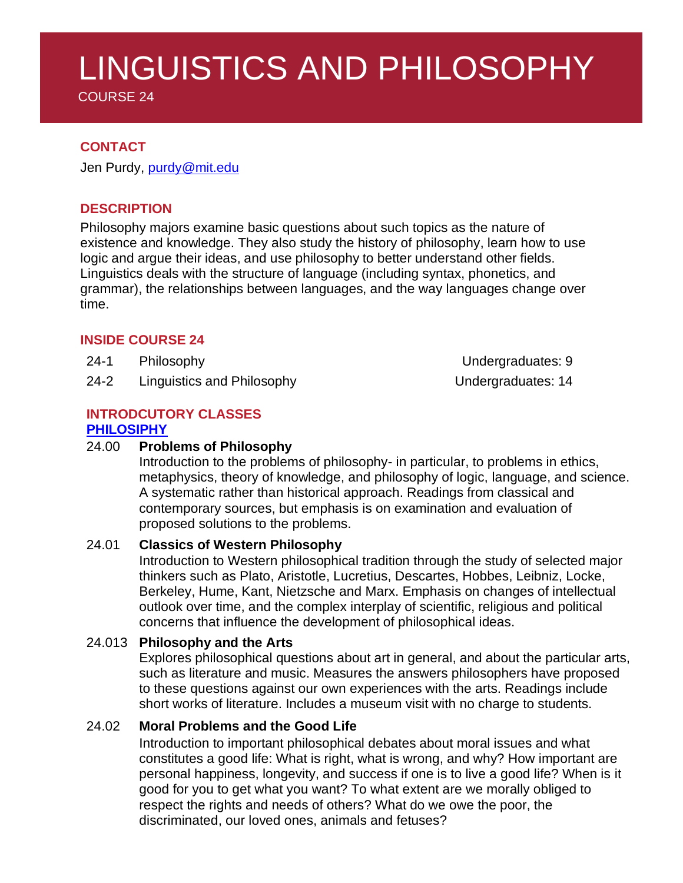COURSE 24

## **CONTACT**

Jen Purdy, [purdy@mit.edu](mailto:purdy@mit.edu)

## **DESCRIPTION**

Philosophy majors examine basic questions about such topics as the nature of existence and knowledge. They also study the history of philosophy, learn how to use logic and argue their ideas, and use philosophy to better understand other fields. Linguistics deals with the structure of language (including syntax, phonetics, and grammar), the relationships between languages, and the way languages change over time.

## **INSIDE COURSE 24**

- 24-1 Philosophy Undergraduates: 9
- 24-2 Linguistics and Philosophy **Example 24-2** Undergraduates: 14

#### **INTRODCUTORY CLASSES [PHILOSIPHY](https://philosophy.mit.edu/undergraduate/#24-1)**

### 24.00 **Problems of Philosophy**

Introduction to the problems of philosophy- in particular, to problems in ethics, metaphysics, theory of knowledge, and philosophy of logic, language, and science. A systematic rather than historical approach. Readings from classical and contemporary sources, but emphasis is on examination and evaluation of proposed solutions to the problems.

## 24.01 **Classics of Western Philosophy**

Introduction to Western philosophical tradition through the study of selected major thinkers such as Plato, Aristotle, Lucretius, Descartes, Hobbes, Leibniz, Locke, Berkeley, Hume, Kant, Nietzsche and Marx. Emphasis on changes of intellectual outlook over time, and the complex interplay of scientific, religious and political concerns that influence the development of philosophical ideas.

## 24.013 **Philosophy and the Arts**

Explores philosophical questions about art in general, and about the particular arts, such as literature and music. Measures the answers philosophers have proposed to these questions against our own experiences with the arts. Readings include short works of literature. Includes a museum visit with no charge to students.

## 24.02 **Moral Problems and the Good Life**

Introduction to important philosophical debates about moral issues and what constitutes a good life: What is right, what is wrong, and why? How important are personal happiness, longevity, and success if one is to live a good life? When is it good for you to get what you want? To what extent are we morally obliged to respect the rights and needs of others? What do we owe the poor, the discriminated, our loved ones, animals and fetuses?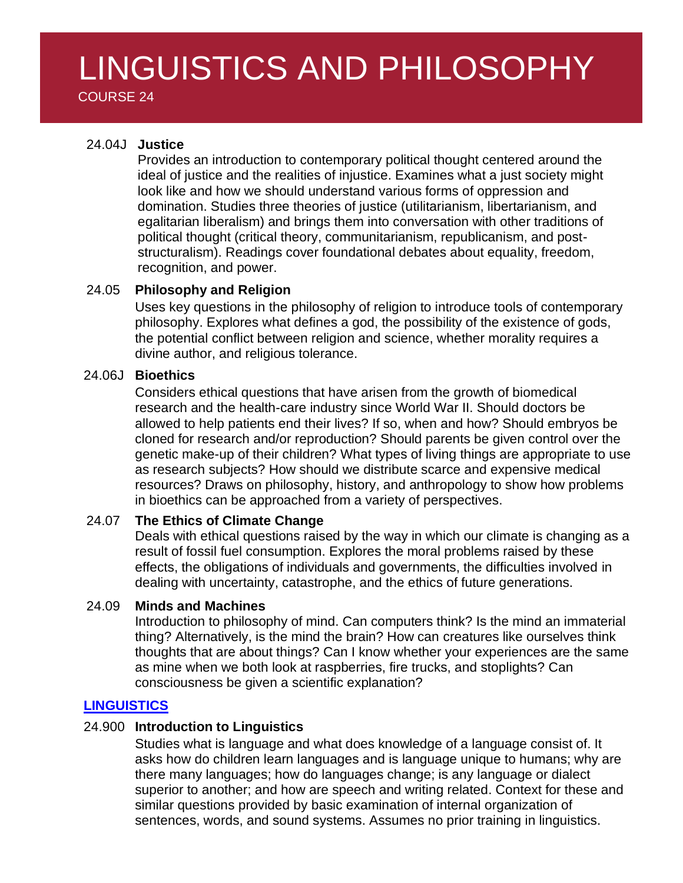COURSE 24

## 24.04J **Justice**

Provides an introduction to contemporary political thought centered around the ideal of justice and the realities of injustice. Examines what a just society might look like and how we should understand various forms of oppression and domination. Studies three theories of justice (utilitarianism, libertarianism, and egalitarian liberalism) and brings them into conversation with other traditions of political thought (critical theory, communitarianism, republicanism, and poststructuralism). Readings cover foundational debates about equality, freedom, recognition, and power.

## 24.05 **Philosophy and Religion**

Uses key questions in the philosophy of religion to introduce tools of contemporary philosophy. Explores what defines a god, the possibility of the existence of gods, the potential conflict between religion and science, whether morality requires a divine author, and religious tolerance.

#### 24.06J **Bioethics**

Considers ethical questions that have arisen from the growth of biomedical research and the health-care industry since World War II. Should doctors be allowed to help patients end their lives? If so, when and how? Should embryos be cloned for research and/or reproduction? Should parents be given control over the genetic make-up of their children? What types of living things are appropriate to use as research subjects? How should we distribute scarce and expensive medical resources? Draws on philosophy, history, and anthropology to show how problems in bioethics can be approached from a variety of perspectives.

## 24.07 **The Ethics of Climate Change**

Deals with ethical questions raised by the way in which our climate is changing as a result of fossil fuel consumption. Explores the moral problems raised by these effects, the obligations of individuals and governments, the difficulties involved in dealing with uncertainty, catastrophe, and the ethics of future generations.

#### 24.09 **Minds and Machines**

Introduction to philosophy of mind. Can computers think? Is the mind an immaterial thing? Alternatively, is the mind the brain? How can creatures like ourselves think thoughts that are about things? Can I know whether your experiences are the same as mine when we both look at raspberries, fire trucks, and stoplights? Can consciousness be given a scientific explanation?

## **[LINGUISTICS](https://linguistics.mit.edu/undergraduate/)**

#### 24.900 **Introduction to Linguistics**

Studies what is language and what does knowledge of a language consist of. It asks how do children learn languages and is language unique to humans; why are there many languages; how do languages change; is any language or dialect superior to another; and how are speech and writing related. Context for these and similar questions provided by basic examination of internal organization of sentences, words, and sound systems. Assumes no prior training in linguistics.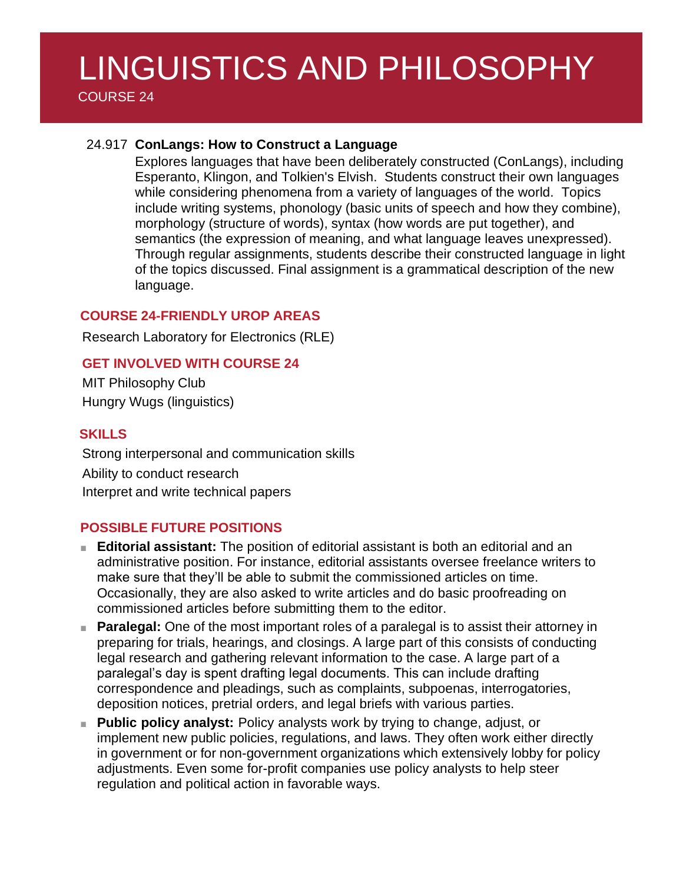COURSE 24

### 24.917 **ConLangs: How to Construct a Language**

Explores languages that have been deliberately constructed (ConLangs), including Esperanto, Klingon, and Tolkien's Elvish. Students construct their own languages while considering phenomena from a variety of languages of the world. Topics include writing systems, phonology (basic units of speech and how they combine), morphology (structure of words), syntax (how words are put together), and semantics (the expression of meaning, and what language leaves unexpressed). Through regular assignments, students describe their constructed language in light of the topics discussed. Final assignment is a grammatical description of the new language.

#### **COURSE 24-FRIENDLY UROP AREAS**

Research Laboratory for Electronics (RLE)

## **GET INVOLVED WITH COURSE 24**

MIT Philosophy Club Hungry Wugs (linguistics)

#### **SKILLS**

Strong interpersonal and communication skills Ability to conduct research Interpret and write technical papers

## **POSSIBLE FUTURE POSITIONS**

- **Editorial assistant:** The position of editorial assistant is both an editorial and an administrative position. For instance, editorial assistants oversee freelance writers to make sure that they'll be able to submit the commissioned articles on time. Occasionally, they are also asked to write articles and do basic proofreading on commissioned articles before submitting them to the editor.
- **Paralegal:** One of the most important roles of a paralegal is to assist their attorney in preparing for trials, hearings, and closings. A large part of this consists of conducting legal research and gathering relevant information to the case. A large part of a paralegal's day is spent drafting legal documents. This can include drafting correspondence and pleadings, such as complaints, subpoenas, interrogatories, deposition notices, pretrial orders, and legal briefs with various parties.
- **Public policy analyst:** Policy analysts work by trying to change, adjust, or implement new public policies, regulations, and laws. They often work either directly in government or for non-government organizations which extensively lobby for policy adjustments. Even some for-profit companies use policy analysts to help steer regulation and political action in favorable ways.